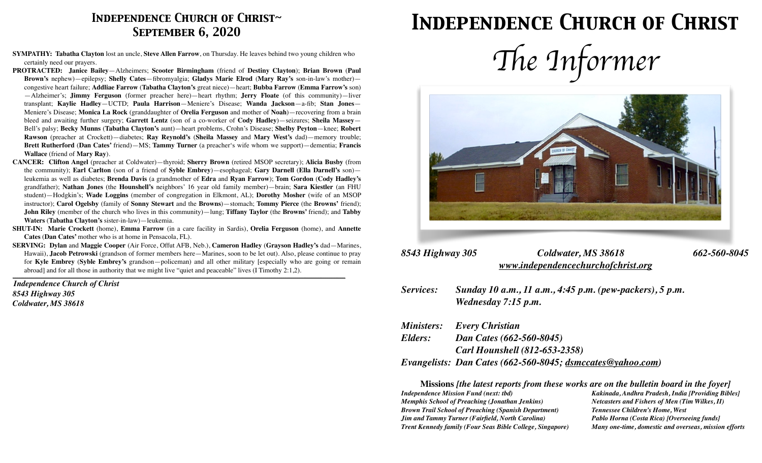### *Independence Church of Christ~ September 6, 2020*

- **SYMPATHY: Tabatha Clayton** lost an uncle, **Steve Allen Farrow**, on Thursday. He leaves behind two young children who certainly need our prayers.
- **PROTRACTED: Janice Bailey**—Alzheimers; **Scooter Birmingham** (friend of **Destiny Clayton**); **Brian Brown** (**Paul Brown's** nephew)—epilepsy; **Shelly Cates**—fibromyalgia; **Gladys Marie Elrod** (**Mary Ray's** son-in-law's mother) congestive heart failure; **Addliae Farrow** (**Tabatha Clayton's** great niece)—heart; **Bubba Farrow** (**Emma Farrow's** son) —Alzheimer's; **Jimmy Ferguson** (former preacher here)—heart rhythm; **Jerry Floate** (of this community)—liver transplant; **Kaylie Hadley**—UCTD; **Paula Harrison**—Meniere's Disease; **Wanda Jackson**—a-fib; **Stan Jones**— Meniere's Disease; **Monica La Rock** (granddaughter of **Orelia Ferguson** and mother of **Noah**)—recovering from a brain bleed and awaiting further surgery; **Garrett Lentz** (son of a co-worker of **Cody Hadley**)—seizures; **Sheila Massey**— Bell's palsy; **Becky Munns** (**Tabatha Clayton's** aunt)—heart problems, Crohn's Disease; **Shelby Peyton**—knee; **Robert Rawson** (preacher at Crockett)—diabetes; **Ray Reynold's** (**Sheila Massey** and **Mary West's** dad)—memory trouble; **Brett Rutherford** (**Dan Cates'** friend)—MS; **Tammy Turner** (a preacher's wife whom we support)—dementia; **Francis Wallace** (friend of **Mary Ray**).
- **CANCER: Clifton Angel** (preacher at Coldwater)—thyroid; **Sherry Brown** (retired MSOP secretary); **Alicia Busby** (from the community); **Earl Carlton** (son of a friend of **Syble Embrey**)—esophageal; **Gary Darnell** (**Ella Darnell's** son) leukemia as well as diabetes; **Brenda Davis** (a grandmother of **Edra** and **Ryan Farrow**); **Tom Gordon** (**Cody Hadley's**  grandfather); **Nathan Jones** (the **Hounshell's** neighbors' 16 year old family member)—brain; **Sara Kiestler** (an FHU student)—Hodgkin's; **Wade Loggins** (member of congregation in Elkmont, AL); **Dorothy Mosher** (wife of an MSOP instructor); **Carol Ogelsby** (family of **Sonny Stewart** and the **Browns**)—stomach; **Tommy Pierce** (the **Browns'** friend); **John Riley** (member of the church who lives in this community)—lung; **Tiffany Taylor** (the **Browns'** friend); and **Tabby Waters** (**Tabatha Clayton's** sister-in-law)—leukemia.
- **SHUT-IN: Marie Crockett** (home), **Emma Farrow** (in a care facility in Sardis), **Orelia Ferguson** (home), and **Annette Cates** (**Dan Cates'** mother who is at home in Pensacola, FL).
- **SERVING: Dylan** and **Maggie Cooper** (Air Force, Offut AFB, Neb.), **Cameron Hadley** (**Grayson Hadley's** dad—Marines, Hawaii), **Jacob Petrowski** (grandson of former members here—Marines, soon to be let out). Also, please continue to pray for **Kyle Embrey** (**Syble Embrey's** grandson—policeman) and all other military [especially who are going or remain abroad] and for all those in authority that we might live "quiet and peaceable" lives (I Timothy 2:1,2). *\_\_\_\_\_\_\_\_\_\_\_\_\_\_\_\_\_\_\_\_\_\_\_\_\_\_\_\_\_\_\_\_\_\_\_\_\_\_\_\_\_\_\_\_\_\_\_\_\_\_\_\_\_\_\_\_\_\_\_\_\_\_\_\_\_\_\_\_\_\_\_\_\_\_\_\_\_\_\_\_\_\_\_\_\_\_\_\_\_\_\_\_\_\_\_\_\_\_\_\_\_\_\_\_\_\_\_\_\_\_\_\_\_\_\_\_\_\_\_\_\_\_\_\_\_\_\_\_\_\_\_\_\_\_\_\_\_\_\_\_\_\_\_\_\_\_\_\_\_\_\_\_\_\_\_\_\_\_\_\_\_\_\_\_\_*

*Independence Church of Christ 8543 Highway 305 Coldwater, MS 38618*

### *Independence Church of Christ*





### *8543 Highway 305 Coldwater, MS 38618 662-560-8045 [www.independencechurchofchrist.org](http://www.independencechurchofchrist.org)*

*Services: Sunday 10 a.m., 11 a.m., 4:45 p.m. (pew-packers), 5 p.m. Wednesday 7:15 p.m.*

|         | <b>Ministers:</b> Every Christian                          |
|---------|------------------------------------------------------------|
| Elders: | Dan Cates (662-560-8045)                                   |
|         | <b>Carl Hounshell (812-653-2358)</b>                       |
|         | Evangelists: Dan Cates (662-560-8045; dsmccates@yahoo.com) |

**Missions** *[the latest reports from these works are on the bulletin board in the foyer]*

*Memphis School of Preaching (Jonathan Jenkins) Netcasters and Fishers of Men (Tim Wilkes, II) Brown Trail School of Preaching (Spanish Department) Tennessee Children's Home, West Jim and Tammy Turner (Fairfield, North Carolina) Pablo Horna (Costa Rica) [Overseeing funds] Trent Kennedy family (Four Seas Bible College, Singapore) Many one-time, domestic and overseas, mission efforts*

*Independence Mission Fund (next: tbd) Kakinada, Andhra Pradesh, India [Providing Bibles]*